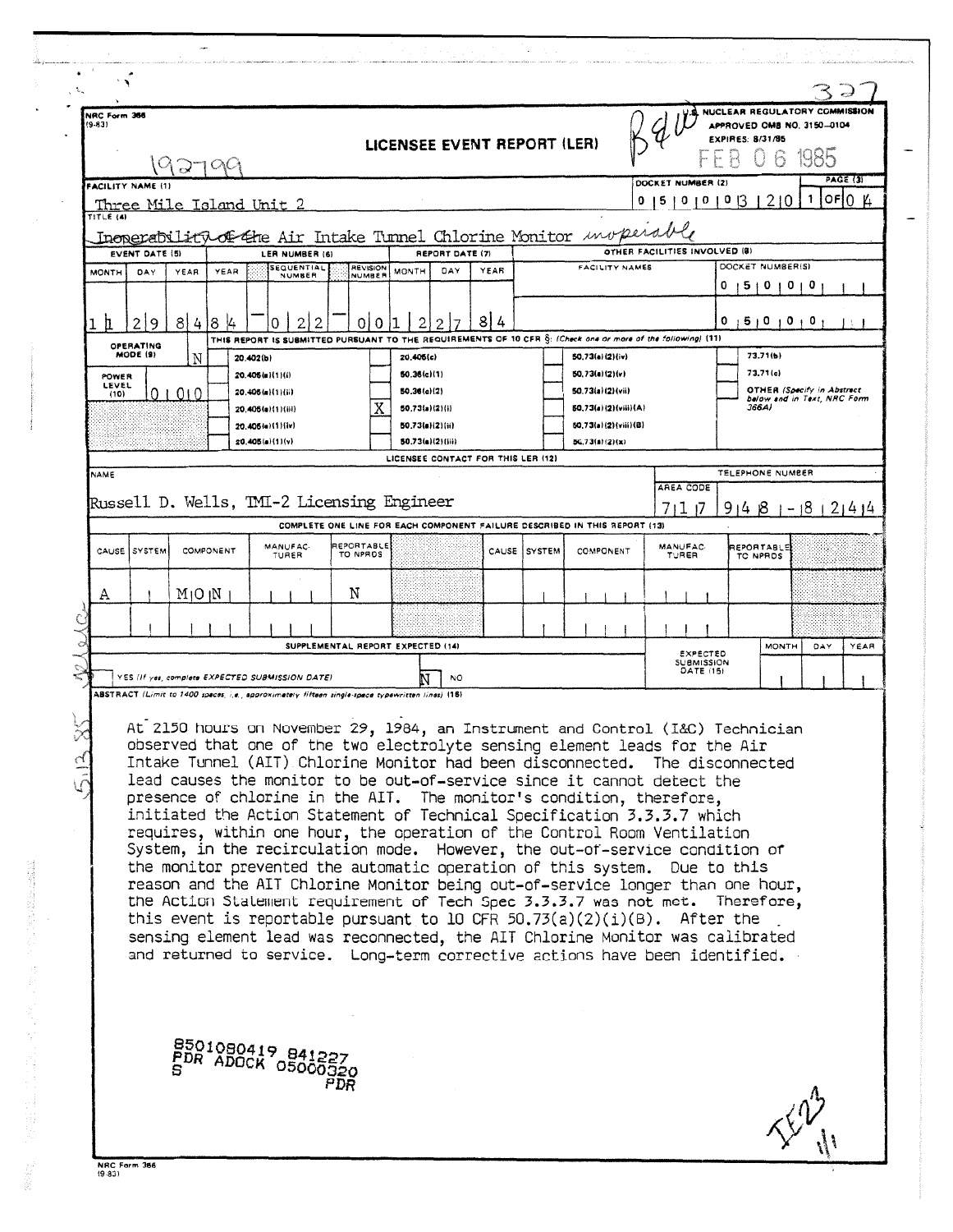| NRC Form 366<br>$(9-83)$ |                       | 2700                            |           |                                     |                                                                                                  |     |                           |                                            | LICENSEE EVENT REPORT (LER)        |        |               |                                                                                                                                                                                                                                                                                                                                                                                                                                                                                                                                                                                                                                                                                                                                                                                                                                                                                                                                                                                                                                                                                                                                      |                                |                                                          | APPROVED OMB NO. 3150-0104<br>EXPIRES: 8/31/85 |              | NUCLEAR REGULATORY COMMISSION<br>PAGE (3) |
|--------------------------|-----------------------|---------------------------------|-----------|-------------------------------------|--------------------------------------------------------------------------------------------------|-----|---------------------------|--------------------------------------------|------------------------------------|--------|---------------|--------------------------------------------------------------------------------------------------------------------------------------------------------------------------------------------------------------------------------------------------------------------------------------------------------------------------------------------------------------------------------------------------------------------------------------------------------------------------------------------------------------------------------------------------------------------------------------------------------------------------------------------------------------------------------------------------------------------------------------------------------------------------------------------------------------------------------------------------------------------------------------------------------------------------------------------------------------------------------------------------------------------------------------------------------------------------------------------------------------------------------------|--------------------------------|----------------------------------------------------------|------------------------------------------------|--------------|-------------------------------------------|
| FACILITY NAME (1)        |                       | <u>Three Mile Island Unit 2</u> |           |                                     |                                                                                                  |     |                           |                                            |                                    |        |               |                                                                                                                                                                                                                                                                                                                                                                                                                                                                                                                                                                                                                                                                                                                                                                                                                                                                                                                                                                                                                                                                                                                                      | DOCKET NUMBER<br>0 15 10 10 13 |                                                          |                                                | 210<br>1     | OFIO.                                     |
| TITLE (4)                |                       |                                 |           |                                     |                                                                                                  |     |                           |                                            |                                    |        |               |                                                                                                                                                                                                                                                                                                                                                                                                                                                                                                                                                                                                                                                                                                                                                                                                                                                                                                                                                                                                                                                                                                                                      |                                |                                                          |                                                |              |                                           |
|                          | <b>EVENT DATE (5)</b> |                                 |           |                                     | LER NUMBER (6)                                                                                   |     |                           |                                            | REPORT DATE (7)                    |        |               | Inoperability of the Air Intake Tunnel Chlorine Monitor <i>unopera</i>                                                                                                                                                                                                                                                                                                                                                                                                                                                                                                                                                                                                                                                                                                                                                                                                                                                                                                                                                                                                                                                               | OTHER FACILITIES INVOLVED (8)  |                                                          |                                                |              |                                           |
| <b>MONTH</b>             | DAY                   | YEAR                            | YEAR      |                                     | <b>SEQUENTIAL</b><br>NUMBER                                                                      |     | <b>REVISION</b><br>NUMBER | <b>MONTH</b>                               | DAY                                | YEAR   |               | <b>FACILITY NAMES</b>                                                                                                                                                                                                                                                                                                                                                                                                                                                                                                                                                                                                                                                                                                                                                                                                                                                                                                                                                                                                                                                                                                                |                                | o                                                        | DOCKET NUMBER(S)<br>$5 + 0$                    | $\mathbf{1}$ |                                           |
|                          |                       |                                 |           |                                     |                                                                                                  |     |                           |                                            |                                    |        |               |                                                                                                                                                                                                                                                                                                                                                                                                                                                                                                                                                                                                                                                                                                                                                                                                                                                                                                                                                                                                                                                                                                                                      |                                |                                                          |                                                |              |                                           |
| ħ                        | 219                   | 8141                            | 18        |                                     |                                                                                                  |     | 0<br>0                    |                                            | 2                                  | 8<br>4 |               | THIS REPORT IS SUBMITTED PURSUANT TO THE REQUIREMENTS OF 10 CFR S: (Check one or more of the following) (11)                                                                                                                                                                                                                                                                                                                                                                                                                                                                                                                                                                                                                                                                                                                                                                                                                                                                                                                                                                                                                         |                                |                                                          | 151010101<br>0                                 |              |                                           |
|                          | OPERATING<br>MODE (9) | N                               |           | 20.402(b)                           |                                                                                                  |     |                           | 20.406(c)                                  |                                    |        |               | 50.73(a)(2)(iv)                                                                                                                                                                                                                                                                                                                                                                                                                                                                                                                                                                                                                                                                                                                                                                                                                                                                                                                                                                                                                                                                                                                      |                                |                                                          | 73.71(b)                                       |              |                                           |
| POWER<br>LEVEL           |                       |                                 |           | 20.405(a)(1)(i)<br>20.406(a)(1)(ii) |                                                                                                  |     |                           | 50.36(c)(1)<br>50.36(c)(2)                 |                                    |        |               | 50.73(a)(2)(v)<br>50.73(a)(2)(vii)                                                                                                                                                                                                                                                                                                                                                                                                                                                                                                                                                                                                                                                                                                                                                                                                                                                                                                                                                                                                                                                                                                   |                                |                                                          | 73.71(c)                                       |              | <b>OTHER (Specify in Abstract</b>         |
| (10)                     |                       | 0 1 0 1 0                       |           | 20.405(a)(1)(iii)                   |                                                                                                  |     |                           | 50,73(a)(2)(i)                             |                                    |        |               | 50.73(a)(2)(viii)(A)                                                                                                                                                                                                                                                                                                                                                                                                                                                                                                                                                                                                                                                                                                                                                                                                                                                                                                                                                                                                                                                                                                                 |                                |                                                          | 366A)                                          |              | below and in Text, NRC Form               |
|                          |                       |                                 |           | 20.405(a)(1)(iv)<br>20.405(a)(1)(v) |                                                                                                  |     |                           | 50.73(a)(2)(ii)<br><b>50.73(a)(2)(iii)</b> |                                    |        |               | 50.73(a)(2)(viii)(B)<br>50.73(a)(2)(x)                                                                                                                                                                                                                                                                                                                                                                                                                                                                                                                                                                                                                                                                                                                                                                                                                                                                                                                                                                                                                                                                                               |                                |                                                          |                                                |              |                                           |
|                          |                       |                                 |           |                                     |                                                                                                  |     |                           |                                            | LICENSEE CONTACT FOR THIS LER (12) |        |               |                                                                                                                                                                                                                                                                                                                                                                                                                                                                                                                                                                                                                                                                                                                                                                                                                                                                                                                                                                                                                                                                                                                                      |                                |                                                          |                                                |              |                                           |
| NAME                     |                       |                                 |           |                                     |                                                                                                  |     |                           |                                            |                                    |        |               |                                                                                                                                                                                                                                                                                                                                                                                                                                                                                                                                                                                                                                                                                                                                                                                                                                                                                                                                                                                                                                                                                                                                      | AREA CODE                      |                                                          | TELEPHONE NUMBER                               |              |                                           |
|                          |                       |                                 |           |                                     | Russell D. Wells, TMI-2 Licensing Engineer                                                       |     |                           |                                            |                                    |        |               |                                                                                                                                                                                                                                                                                                                                                                                                                                                                                                                                                                                                                                                                                                                                                                                                                                                                                                                                                                                                                                                                                                                                      | 711 17                         |                                                          |                                                |              | $91481 - 18121414$                        |
| CAUSE                    | SYSTEM                |                                 | COMPONENT |                                     | MANUFAC-<br>TURER                                                                                |     | REPORTABLE<br>TO NPROS    |                                            |                                    | CAUSE  | <b>SYSTEM</b> | COMPLETE ONE LINE FOR EACH COMPONENT FAILURE DESCRIBED IN THIS REPORT (13)<br>COMPONENT                                                                                                                                                                                                                                                                                                                                                                                                                                                                                                                                                                                                                                                                                                                                                                                                                                                                                                                                                                                                                                              | MANUFAC.<br>TURER              |                                                          | REPORTABLE<br>TO NPROS                         |              |                                           |
| Α                        |                       | MIO IN                          |           |                                     |                                                                                                  |     | Ν                         |                                            |                                    |        |               |                                                                                                                                                                                                                                                                                                                                                                                                                                                                                                                                                                                                                                                                                                                                                                                                                                                                                                                                                                                                                                                                                                                                      |                                |                                                          |                                                |              |                                           |
|                          |                       |                                 |           |                                     |                                                                                                  |     |                           |                                            |                                    |        |               |                                                                                                                                                                                                                                                                                                                                                                                                                                                                                                                                                                                                                                                                                                                                                                                                                                                                                                                                                                                                                                                                                                                                      |                                |                                                          |                                                |              |                                           |
|                          |                       |                                 |           |                                     |                                                                                                  |     |                           | SUPPLEMENTAL REPORT EXPECTED (14)          |                                    |        |               |                                                                                                                                                                                                                                                                                                                                                                                                                                                                                                                                                                                                                                                                                                                                                                                                                                                                                                                                                                                                                                                                                                                                      |                                |                                                          |                                                | <b>MONTH</b> | YEAR<br>DAY                               |
|                          |                       |                                 |           |                                     | YES (If yes, complete EXPECTED SUBMISSION DATE)                                                  |     |                           |                                            | NO.                                |        |               |                                                                                                                                                                                                                                                                                                                                                                                                                                                                                                                                                                                                                                                                                                                                                                                                                                                                                                                                                                                                                                                                                                                                      |                                | <b><i>EXPECTED</i></b><br><b>SUBMISSION</b><br>DATE (15) |                                                |              |                                           |
|                          |                       |                                 |           |                                     | ABSTRACT (Limit to 1400 spaces, i.e., approximately fifteen single-space typewritten lines) (18) |     |                           |                                            |                                    |        |               |                                                                                                                                                                                                                                                                                                                                                                                                                                                                                                                                                                                                                                                                                                                                                                                                                                                                                                                                                                                                                                                                                                                                      |                                |                                                          |                                                |              |                                           |
|                          |                       |                                 |           |                                     |                                                                                                  |     |                           |                                            |                                    |        |               | At 2150 hours on November 29, 1984, an Instrument and Control (I&C) Technician<br>observed that one of the two electrolyte sensing element leads for the Air<br>Intake Tunnel (AIT) Chlorine Monitor had been disconnected. The disconnected<br>lead causes the monitor to be out-of-service since it cannot detect the<br>presence of chlorine in the AIT. The monitor's condition, therefore,<br>initiated the Action Statement of Technical Specification 3.3.3.7 which<br>requires, within one hour, the operation of the Control Room Ventilation<br>System, in the recirculation mode. However, the out-of-service condition of<br>the monitor prevented the automatic operation of this system. Due to this<br>reason and the AIT Chlorine Monitor being out-of-service longer than one hour,<br>the Action Statement requirement of Tech Spec 3.3.3.7 was not met. Therefore,<br>this event is reportable pursuant to 10 CFR $50.73(a)(2)(i)(B)$ . After the<br>sensing element lead was reconnected, the AIT Chlorine Monitor was calibrated<br>and returned to service. Long-term corrective actions have been identified. |                                |                                                          |                                                |              |                                           |
|                          |                       |                                 |           |                                     | 8501080419 841227<br>PDR ADOCK 05000920                                                          | PDR |                           |                                            |                                    |        |               |                                                                                                                                                                                                                                                                                                                                                                                                                                                                                                                                                                                                                                                                                                                                                                                                                                                                                                                                                                                                                                                                                                                                      |                                |                                                          |                                                |              |                                           |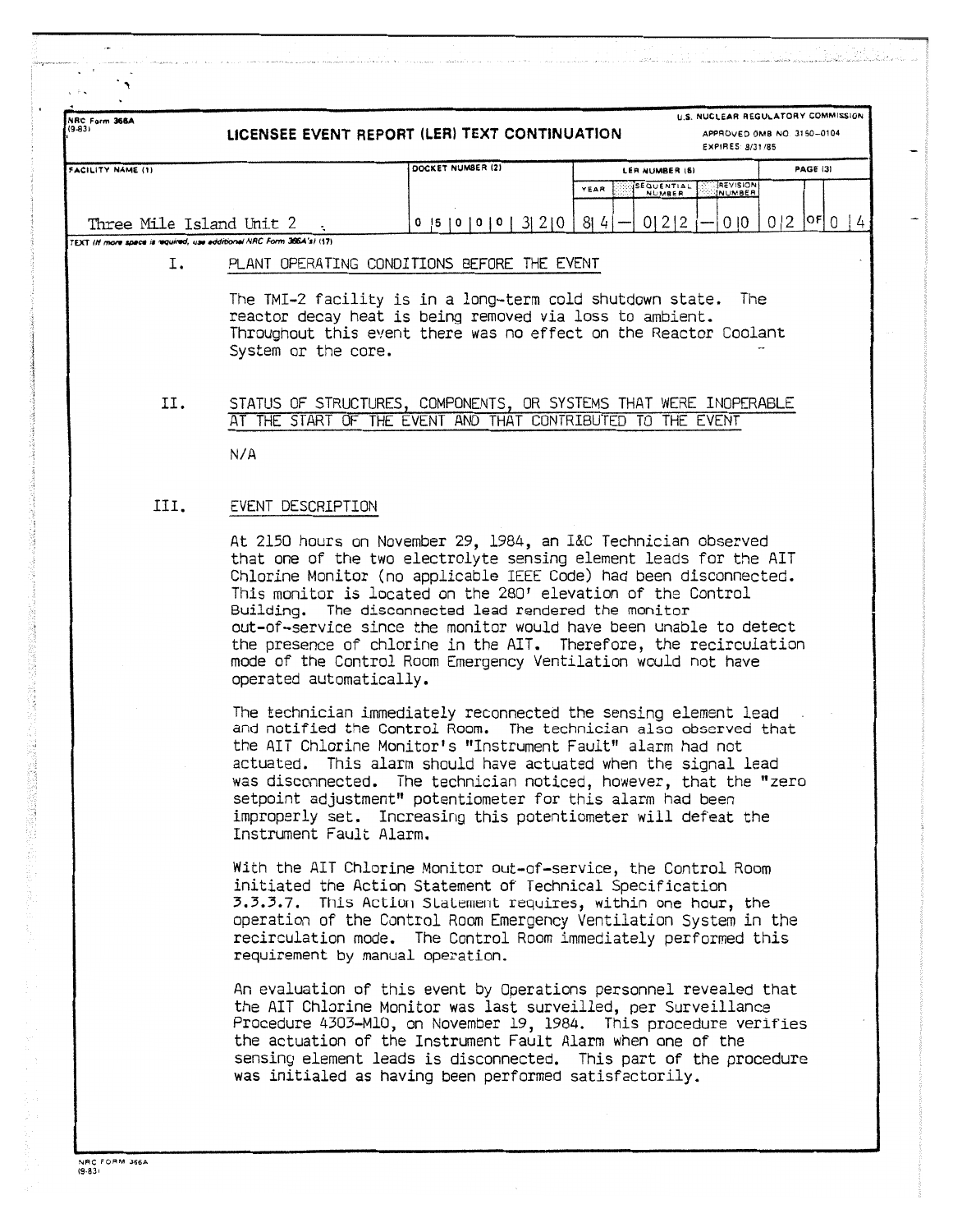| NRC Form 366A<br>$(9-83)$                                                                         | LICENSEE EVENT REPORT (LER) TEXT CONTINUATION                          |                                                                                                                                                                                                                                                                                                                                                                                                                                                                                                                                             |                                   | U.S. NUCLEAR REGULATORY COMMISSION<br>APPROVED OMB NO. 3150-0104<br>EXPIRES: 8/31/85 |            |
|---------------------------------------------------------------------------------------------------|------------------------------------------------------------------------|---------------------------------------------------------------------------------------------------------------------------------------------------------------------------------------------------------------------------------------------------------------------------------------------------------------------------------------------------------------------------------------------------------------------------------------------------------------------------------------------------------------------------------------------|-----------------------------------|--------------------------------------------------------------------------------------|------------|
| FACILITY NAME (1)                                                                                 |                                                                        | DOCKET NUMBER (2)                                                                                                                                                                                                                                                                                                                                                                                                                                                                                                                           | LER NUMBER (6)                    |                                                                                      | PAGE (3)   |
|                                                                                                   |                                                                        |                                                                                                                                                                                                                                                                                                                                                                                                                                                                                                                                             | SEQUENTIAL<br>YEAR<br>NUMBER      | <b>REVISION</b>                                                                      |            |
| Three Mile Island Unit 2<br>TEXT (If more space is required, use additional NRC Form 3664's) (17) |                                                                        | 0  5  0  0  0  3  2  0                                                                                                                                                                                                                                                                                                                                                                                                                                                                                                                      | 814<br>0 2 2                      | $0 \mid 0$                                                                           | 0 2 0F 0 4 |
| Ι.                                                                                                |                                                                        | PLANT OPERATING CONDITIONS BEFORE THE EVENT                                                                                                                                                                                                                                                                                                                                                                                                                                                                                                 |                                   |                                                                                      |            |
|                                                                                                   | System or the core.                                                    | The TMI-2 facility is in a long-term cold shutdown state. The<br>reactor decay heat is being removed via loss to ambient.<br>Throughout this event there was no effect on the Reactor Coolant                                                                                                                                                                                                                                                                                                                                               |                                   |                                                                                      |            |
| II.                                                                                               |                                                                        | STATUS OF STRUCTURES, COMPONENTS, OR SYSTEMS THAT WERE INOPERABLE<br>AT THE START OF THE EVENT AND THAT CONTRIBUTED TO THE EVENT                                                                                                                                                                                                                                                                                                                                                                                                            |                                   |                                                                                      |            |
|                                                                                                   | N/A                                                                    |                                                                                                                                                                                                                                                                                                                                                                                                                                                                                                                                             |                                   |                                                                                      |            |
| III.                                                                                              | EVENT DESCRIPTION                                                      |                                                                                                                                                                                                                                                                                                                                                                                                                                                                                                                                             |                                   |                                                                                      |            |
|                                                                                                   | operated automatically.                                                | At 2150 hours on November 29, 1984, an I&C Technician observed<br>that one of the two electrolyte sensing element leads for the AIT<br>Chlorine Monitor (no applicable IEEE Code) had been disconnected.<br>This monitor is located on the 280' elevation of the Control<br>Building. The disconnected lead rendered the monitor<br>out-of-service since the monitor would have been unable to detect<br>the presence of chlorine in the AIT. Therefore, the recirculation<br>mode of the Control Room Emergency Ventilation would not have |                                   |                                                                                      |            |
|                                                                                                   | and notified the Control Room.<br>actuated.<br>Instrument Fault Alarm. | The technician immediately reconnected the sensing element lead<br>the AIT Chlorine Monitor's "Instrument Fault" alarm had not<br>This alarm should have actuated when the signal lead<br>was disconnected. The technician noticed, however, that the "zero<br>setpoint adjustment" potentiometer for this alarm had been<br>improperly set. Increasing this potentiometer will defeat the                                                                                                                                                  | The technician also observed that |                                                                                      |            |
|                                                                                                   | requirement by manual operation.                                       | With the AIT Chlorine Monitor out-of-service, the Control Room<br>initiated the Action Statement of Technical Specification<br>3.3.3.7. This Action Statement requires, within one hour, the<br>operation of the Control Room Emergency Ventilation System in the<br>recirculation mode. The Control Room immediately performed this                                                                                                                                                                                                        |                                   |                                                                                      |            |
|                                                                                                   |                                                                        | An evaluation of this event by Operations personnel revealed that<br>the AIT Chlorine Monitor was last surveilled, per Surveillance<br>Procedure 4303-M10, on November 19, 1984. This procedure verifies<br>the actuation of the Instrument Fault Alarm when one of the<br>sensing element leads is disconnected. This part of the procedure<br>was initialed as having been performed satisfactorily.                                                                                                                                      |                                   |                                                                                      |            |

.,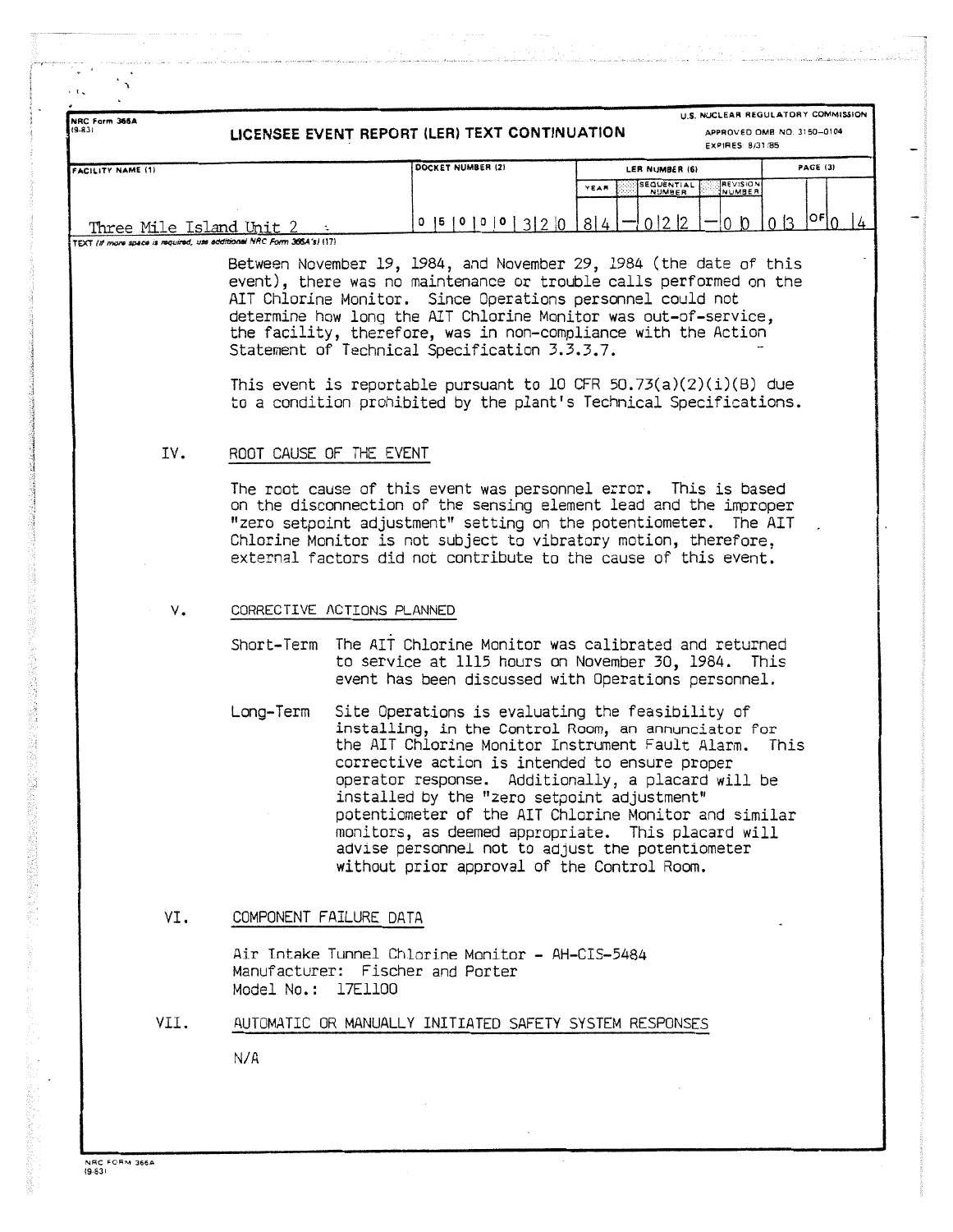| DOCKET NUMBER (2)<br>PAGE (3)<br>LER NUMBER (6)<br><b>FACILITY NAME (1)</b><br><b>AEVISION</b><br><b>SEQUENTIAL</b><br>YEAR<br>NUMBER<br>$ 0F _0$<br>0 2 2<br>0 <sup>3</sup><br>0 <sub>0</sub><br>$0$  5   0   0   0   3   2   0   8   4  <br>Three Mile Island Unit 2 :<br>TEXT (if more space is required, use additional NRC Form 365.4's) (17)<br>Between November 19, 1984, and November 29, 1984 (the date of this<br>event), there was no maintenance or trouble calls performed on the<br>AIT Chlorine Monitor. Since Operations personnel could not<br>determine how long the AIT Chlorine Monitor was out-of-service,<br>the facility, therefore, was in non-compliance with the Action<br>Statement of Technical Specification 3.3.3.7.<br>This event is reportable pursuant to 10 CFR 50.73(a)(2)(i)(B) due<br>to a condition prohibited by the plant's Technical Specifications.<br>IV.<br>ROOT CAUSE OF THE EVENT<br>The root cause of this event was personnel error. This is based<br>on the disconnection of the sensing element lead and the improper<br>"zero setpoint adjustment" setting on the potentiometer. The AIT<br>Chlorine Monitor is not subject to vibratory motion, therefore,<br>external factors did not contribute to the cause of this event.<br>CORRECTIVE ACTIONS PLANNED<br>٧.<br>Short-Term The AIT Chlorine Monitor was calibrated and returned<br>to service at 1115 hours on November 30, 1984. This<br>event has been discussed with Operations personnel.<br>Long–Term<br>Site Operations is evaluating the feasibility of<br>installing, in the Control Room, an annunciator for<br>the AIT Chlorine Monitor Instrument Fault Alarm.<br>This<br>corrective action is intended to ensure proper<br>operator response. Additionally, a placard will be<br>installed by the "zero setpoint adjustment"<br>potentiometer of the AIT Chlorine Monitor and similar<br>monitors, as deemed appropriate. This placard will<br>advise personnel not to adjust the potentiometer<br>without prior approval of the Control Room.<br>VI.<br>COMPONENT FAILURE DATA<br>Air Intake Tunnel Chlorine Monitor - AH-CIS-5484<br>Manufacturer: Fischer and Porter<br>Model No.: 17Ell00<br>VII.<br>AUTOMATIC OR MANUALLY INITIATED SAFETY SYSTEM RESPONSES<br>N/A | NRC Form 366A<br>(9.83) | LICENSEE EVENT REPORT (LER) TEXT CONTINUATION | U.S. NUCLEAR REGULATORY COMMISSION<br>APPROVED OMB NO. 3150-0104<br>EXPIRES: 8/31/85 |               |
|----------------------------------------------------------------------------------------------------------------------------------------------------------------------------------------------------------------------------------------------------------------------------------------------------------------------------------------------------------------------------------------------------------------------------------------------------------------------------------------------------------------------------------------------------------------------------------------------------------------------------------------------------------------------------------------------------------------------------------------------------------------------------------------------------------------------------------------------------------------------------------------------------------------------------------------------------------------------------------------------------------------------------------------------------------------------------------------------------------------------------------------------------------------------------------------------------------------------------------------------------------------------------------------------------------------------------------------------------------------------------------------------------------------------------------------------------------------------------------------------------------------------------------------------------------------------------------------------------------------------------------------------------------------------------------------------------------------------------------------------------------------------------------------------------------------------------------------------------------------------------------------------------------------------------------------------------------------------------------------------------------------------------------------------------------------------------------------------------------------------------------------------------------------------------------------------------------------------------------------------------------------------------------------------|-------------------------|-----------------------------------------------|--------------------------------------------------------------------------------------|---------------|
|                                                                                                                                                                                                                                                                                                                                                                                                                                                                                                                                                                                                                                                                                                                                                                                                                                                                                                                                                                                                                                                                                                                                                                                                                                                                                                                                                                                                                                                                                                                                                                                                                                                                                                                                                                                                                                                                                                                                                                                                                                                                                                                                                                                                                                                                                              |                         |                                               |                                                                                      |               |
|                                                                                                                                                                                                                                                                                                                                                                                                                                                                                                                                                                                                                                                                                                                                                                                                                                                                                                                                                                                                                                                                                                                                                                                                                                                                                                                                                                                                                                                                                                                                                                                                                                                                                                                                                                                                                                                                                                                                                                                                                                                                                                                                                                                                                                                                                              |                         |                                               |                                                                                      | $\frac{1}{4}$ |
|                                                                                                                                                                                                                                                                                                                                                                                                                                                                                                                                                                                                                                                                                                                                                                                                                                                                                                                                                                                                                                                                                                                                                                                                                                                                                                                                                                                                                                                                                                                                                                                                                                                                                                                                                                                                                                                                                                                                                                                                                                                                                                                                                                                                                                                                                              |                         |                                               |                                                                                      |               |
|                                                                                                                                                                                                                                                                                                                                                                                                                                                                                                                                                                                                                                                                                                                                                                                                                                                                                                                                                                                                                                                                                                                                                                                                                                                                                                                                                                                                                                                                                                                                                                                                                                                                                                                                                                                                                                                                                                                                                                                                                                                                                                                                                                                                                                                                                              |                         |                                               |                                                                                      |               |
|                                                                                                                                                                                                                                                                                                                                                                                                                                                                                                                                                                                                                                                                                                                                                                                                                                                                                                                                                                                                                                                                                                                                                                                                                                                                                                                                                                                                                                                                                                                                                                                                                                                                                                                                                                                                                                                                                                                                                                                                                                                                                                                                                                                                                                                                                              |                         |                                               |                                                                                      |               |
|                                                                                                                                                                                                                                                                                                                                                                                                                                                                                                                                                                                                                                                                                                                                                                                                                                                                                                                                                                                                                                                                                                                                                                                                                                                                                                                                                                                                                                                                                                                                                                                                                                                                                                                                                                                                                                                                                                                                                                                                                                                                                                                                                                                                                                                                                              |                         |                                               |                                                                                      |               |
|                                                                                                                                                                                                                                                                                                                                                                                                                                                                                                                                                                                                                                                                                                                                                                                                                                                                                                                                                                                                                                                                                                                                                                                                                                                                                                                                                                                                                                                                                                                                                                                                                                                                                                                                                                                                                                                                                                                                                                                                                                                                                                                                                                                                                                                                                              |                         |                                               |                                                                                      |               |
|                                                                                                                                                                                                                                                                                                                                                                                                                                                                                                                                                                                                                                                                                                                                                                                                                                                                                                                                                                                                                                                                                                                                                                                                                                                                                                                                                                                                                                                                                                                                                                                                                                                                                                                                                                                                                                                                                                                                                                                                                                                                                                                                                                                                                                                                                              |                         |                                               |                                                                                      |               |
|                                                                                                                                                                                                                                                                                                                                                                                                                                                                                                                                                                                                                                                                                                                                                                                                                                                                                                                                                                                                                                                                                                                                                                                                                                                                                                                                                                                                                                                                                                                                                                                                                                                                                                                                                                                                                                                                                                                                                                                                                                                                                                                                                                                                                                                                                              |                         |                                               |                                                                                      |               |
|                                                                                                                                                                                                                                                                                                                                                                                                                                                                                                                                                                                                                                                                                                                                                                                                                                                                                                                                                                                                                                                                                                                                                                                                                                                                                                                                                                                                                                                                                                                                                                                                                                                                                                                                                                                                                                                                                                                                                                                                                                                                                                                                                                                                                                                                                              |                         |                                               |                                                                                      |               |
|                                                                                                                                                                                                                                                                                                                                                                                                                                                                                                                                                                                                                                                                                                                                                                                                                                                                                                                                                                                                                                                                                                                                                                                                                                                                                                                                                                                                                                                                                                                                                                                                                                                                                                                                                                                                                                                                                                                                                                                                                                                                                                                                                                                                                                                                                              |                         |                                               |                                                                                      |               |
|                                                                                                                                                                                                                                                                                                                                                                                                                                                                                                                                                                                                                                                                                                                                                                                                                                                                                                                                                                                                                                                                                                                                                                                                                                                                                                                                                                                                                                                                                                                                                                                                                                                                                                                                                                                                                                                                                                                                                                                                                                                                                                                                                                                                                                                                                              |                         |                                               |                                                                                      |               |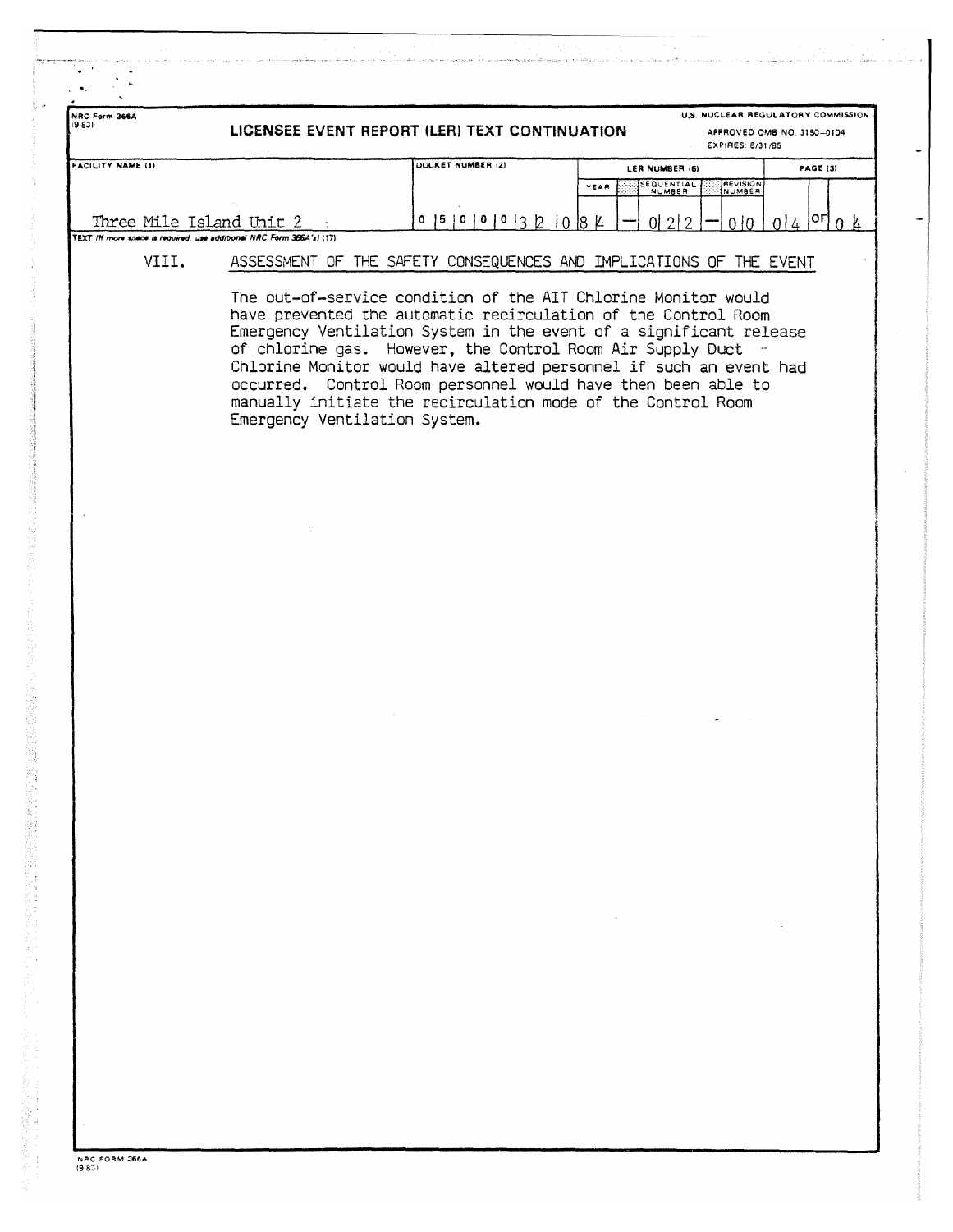| NRC Form 366A     | LICENSEE EVENT REPORT (LER) TEXT CONTINUATION                         |                                                                                                                                                                                                                                                                                                                                                                                                                                                                               | U.S. NUCLEAR REGULATORY COMMISSION<br>APPROVED OMB NO. 3150-0104<br>EXPIRES: 8/31/85 |                                  |                                       |
|-------------------|-----------------------------------------------------------------------|-------------------------------------------------------------------------------------------------------------------------------------------------------------------------------------------------------------------------------------------------------------------------------------------------------------------------------------------------------------------------------------------------------------------------------------------------------------------------------|--------------------------------------------------------------------------------------|----------------------------------|---------------------------------------|
| FACILITY NAME (1) |                                                                       | DOCKET NUMBER (2)                                                                                                                                                                                                                                                                                                                                                                                                                                                             |                                                                                      | LER NUMBER (6)                   | <b>PAGE (3)</b>                       |
|                   |                                                                       |                                                                                                                                                                                                                                                                                                                                                                                                                                                                               | YEAR                                                                                 | SEQUENTIAL<br>REVISION<br>NUMBER |                                       |
|                   | Three Mile Island Unit $2$ :                                          | $0$   5   0   0   0   3   2   0   8   4                                                                                                                                                                                                                                                                                                                                                                                                                                       |                                                                                      | 01212<br>010                     | $014$ $ $ <sup>OF</sup> $ $ 0 $ $ $ $ |
|                   | TEXT (If more soace is required, use additional NRC Form 366A's) (17) |                                                                                                                                                                                                                                                                                                                                                                                                                                                                               |                                                                                      |                                  |                                       |
| VIII.             |                                                                       | ASSESSMENT OF THE SAFETY CONSEQUENCES AND IMPLICATIONS OF THE EVENT                                                                                                                                                                                                                                                                                                                                                                                                           |                                                                                      |                                  |                                       |
|                   | Emergency Ventilation System.                                         | The out-of-service condition of the AIT Chlorine Monitor would<br>have prevented the automatic recirculation of the Control Room<br>Emergency Ventilation System in the event of a significant release<br>of chlorine gas. However, the Control Room Air Supply Duct -<br>Chlorine Monitor would have altered personnel if such an event had<br>occurred. Control Room personnel would have then been able to<br>manually initiate the recirculation mode of the Control Room |                                                                                      |                                  |                                       |
|                   |                                                                       |                                                                                                                                                                                                                                                                                                                                                                                                                                                                               |                                                                                      |                                  |                                       |
|                   |                                                                       |                                                                                                                                                                                                                                                                                                                                                                                                                                                                               |                                                                                      |                                  |                                       |
|                   |                                                                       |                                                                                                                                                                                                                                                                                                                                                                                                                                                                               |                                                                                      |                                  |                                       |
|                   |                                                                       |                                                                                                                                                                                                                                                                                                                                                                                                                                                                               |                                                                                      |                                  |                                       |
|                   |                                                                       |                                                                                                                                                                                                                                                                                                                                                                                                                                                                               |                                                                                      |                                  |                                       |
|                   |                                                                       |                                                                                                                                                                                                                                                                                                                                                                                                                                                                               |                                                                                      |                                  |                                       |
|                   |                                                                       |                                                                                                                                                                                                                                                                                                                                                                                                                                                                               |                                                                                      |                                  |                                       |
|                   |                                                                       |                                                                                                                                                                                                                                                                                                                                                                                                                                                                               |                                                                                      |                                  |                                       |
|                   |                                                                       |                                                                                                                                                                                                                                                                                                                                                                                                                                                                               |                                                                                      |                                  |                                       |
|                   |                                                                       |                                                                                                                                                                                                                                                                                                                                                                                                                                                                               |                                                                                      |                                  |                                       |
|                   |                                                                       |                                                                                                                                                                                                                                                                                                                                                                                                                                                                               |                                                                                      |                                  |                                       |
|                   |                                                                       |                                                                                                                                                                                                                                                                                                                                                                                                                                                                               |                                                                                      |                                  |                                       |
|                   |                                                                       |                                                                                                                                                                                                                                                                                                                                                                                                                                                                               |                                                                                      |                                  |                                       |
|                   |                                                                       |                                                                                                                                                                                                                                                                                                                                                                                                                                                                               |                                                                                      |                                  |                                       |
|                   |                                                                       |                                                                                                                                                                                                                                                                                                                                                                                                                                                                               |                                                                                      |                                  |                                       |
|                   |                                                                       |                                                                                                                                                                                                                                                                                                                                                                                                                                                                               |                                                                                      |                                  |                                       |
|                   |                                                                       |                                                                                                                                                                                                                                                                                                                                                                                                                                                                               |                                                                                      |                                  |                                       |
|                   |                                                                       |                                                                                                                                                                                                                                                                                                                                                                                                                                                                               | $\sim 100$ km s $^{-1}$                                                              |                                  |                                       |
|                   |                                                                       |                                                                                                                                                                                                                                                                                                                                                                                                                                                                               |                                                                                      |                                  |                                       |
|                   |                                                                       |                                                                                                                                                                                                                                                                                                                                                                                                                                                                               |                                                                                      |                                  |                                       |
|                   |                                                                       |                                                                                                                                                                                                                                                                                                                                                                                                                                                                               |                                                                                      |                                  |                                       |
|                   |                                                                       |                                                                                                                                                                                                                                                                                                                                                                                                                                                                               |                                                                                      |                                  |                                       |
|                   |                                                                       |                                                                                                                                                                                                                                                                                                                                                                                                                                                                               |                                                                                      |                                  |                                       |
|                   |                                                                       |                                                                                                                                                                                                                                                                                                                                                                                                                                                                               |                                                                                      |                                  |                                       |
|                   |                                                                       |                                                                                                                                                                                                                                                                                                                                                                                                                                                                               |                                                                                      |                                  |                                       |

にゅうしん 真正 大変情報 ほうあんきゅう